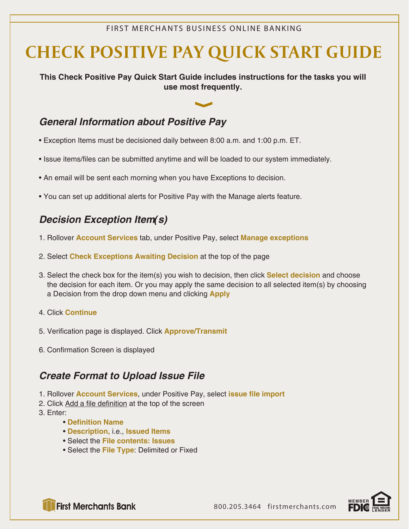#### FIRST MERCHANTS BUSINESS ONLINE BANKING

# **CHECK POSITIVE PAY QUICK START GUIDE**

**This Check Positive Pay Quick Start Guide includes instructions for the tasks you will use most frequently.**

## *General Information about Positive Pay*

- Exception Items must be decisioned daily between 8:00 a.m. and 1:00 p.m. ET.
- Issue items/files can be submitted anytime and will be loaded to our system immediately.
- An email will be sent each morning when you have Exceptions to decision.
- You can set up additional alerts for Positive Pay with the Manage alerts feature.

## *Decision Exception Item(s)*

- 1. Rollover **Account Services** tab, under Positive Pay, select **Manage exceptions**
- 2. Select **Check Exceptions Awaiting Decision** at the top of the page
- 3. Select the check box for the item(s) you wish to decision, then click **Select decision** and choose the decision for each item. Or you may apply the same decision to all selected item(s) by choosing a Decision from the drop down menu and clicking **Apply**
- 4. Click **Continue**
- 5. Verification page is displayed. Click **Approve/Transmit**
- 6. Confirmation Screen is displayed

### *Create Format to Upload Issue File*

- 1. Rollover **Account Services**, under Positive Pay, select **issue file import**
- 2. Click Add a file definition at the top of the screen
- 3. Enter:
	- **Definition Name**
	- **Description,** i.e., **Issued Items**
	- Select the **File contents: Issues**
	- Select the **File Type**: Delimited or Fixed



**First Merchants Bank**